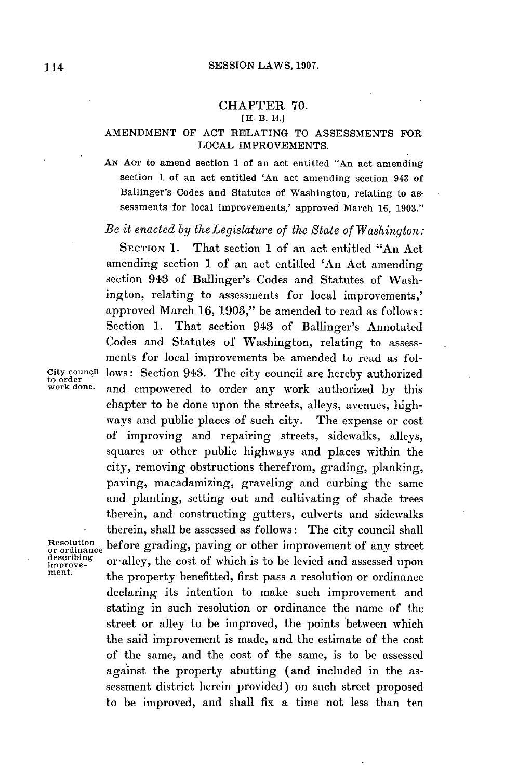## CHAPTER **70.**

## [H. B. 14.1

## **AMENDMENT** OF **ACT** RELATING TO **ASSESSMENTS** FOR **LOCAL** IMPROVEMENTS.

**AN ACT** to amend section 1 of an act entitled "An act amending section 1 of an act entitled 'An act amending section 943 of Ballinger's Codes and Statutes of Washington, relating to assessments for local improvements,' approved March **16, 1903."**

*Be it enacted by the Legislature of the State of Washington:*

**SECTION 1.** That section 1 of an act entitled "An Act amending section 1 of an act entitled 'An Act amending section 943 of Ballinger's Codes and Statutes of Washington, relating to assessments for local improvements,' approved March **16, 1903,"** be amended to read as follows: Section **1.** That section 943 of Ballinger's Annotated Codes and Statutes of Washington, relating to assessments for local improvements be amended to read as fol-City council lows: Section 943. The city council are hereby authorized<br>to order and approximate to order any work authorized by this and empowered to order any work authorized by this chapter to be done upon the streets, alleys, avenues, highways and public places of such city. The expense or cost of improving and repairing streets, sidewalks, alleys, squares or other public highways and places within the city, removing obstructions therefrom, grading, planking, paving, macadamizing, graveling and curbing the same and planting, setting out and cultivating of shade trees therein, and constructing gutters, culverts and sidewalks therein, shall be assessed as follows: The city council shall Resolution before grading, paving or other improvement of any street<br>describing or allev, the cost of which is to be levied and assessed upon improve-<br>ment. the property benefitted, first pass a resolution or ordinance<br>ment. declaring its intention to make such improvement and stating in such resolution or ordinance the name of the street or alley to be improved, the points between which the said improvement is made, and the estimate of the cost of the same, and the cost of the same, is to be assessed against the property abutting (and included in the assessment district herein provided) on such street proposed to be improved, and shall fix a time not less than ten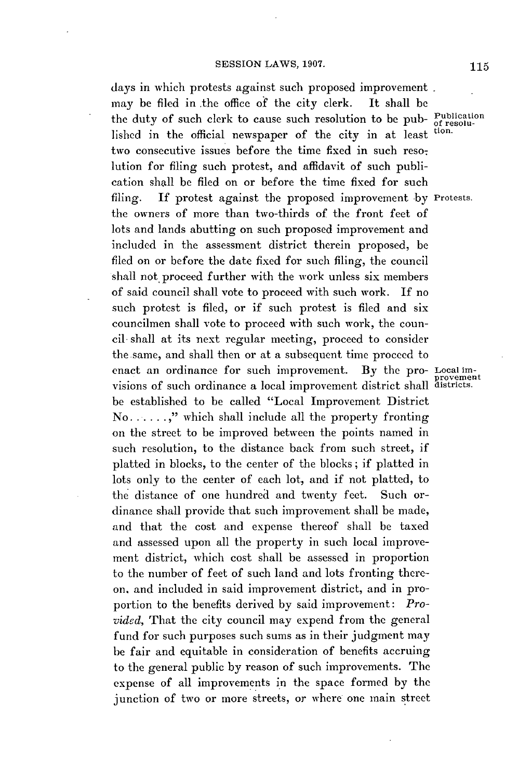days in which protests against such proposed improvement . may be filed in the office of the city clerk. It shall **be** the duty of such clerk to cause such resolution to be pub- Publication lished in the official newspaper of the city in at least tion. two consecutive issues before the time fixed in such resolution for filing such protest, and affidavit of such publication shall be filed on or before the time fixed for such filing. **If** protest against the proposed improvement **by** Protests. the owners of more than two-thirds of the front feet of lots and lands abutting on such proposed improvement and included in the assessment district therein proposed, be filed on or before the date fixed for such filing, the council shall not proceed further with the work unless six members of said council shall vote to proceed with such work. **If** no such protest is filed, or if such protest is filed and six councilmen shall vote to proceed with such work, the council- shall at its next regular meeting, proceed to consider the.same, and shall then or at a subsequent time proceed to enact an ordinance for such improvement. **By** the pro- Local imvisions of such ordinance a local improvement district shall districts. be established to be called "Local Improvement District No **....... ,"** which shall include all the property fronting on the street to be improved between the points named in such resolution, to the distance back from such street, if platted in blocks, to the center of the blocks; if platted in lots only to the center of each lot, and if not platted, to the distance of one hundred and twenty feet. Such ordinance shall provide that such improvement shall be made, and that the cost and expense thereof shall be taxed and assessed upon all the property in such local improvement district, which cost shall be assessed in proportion to the number of feet of such land and lots fronting thereon, and included in said improvement district, and in proportion to the benefits derived **by** said improvement: *Provided,* That the city council may expend from the general fund for such purposes such sums as in their judgment may be fair and equitable in consideration of benefits accruing to the general public **by** reason of such improvements. The expense of all improvements in the space formed **by** the junction of two or more streets, or where one main street

ovement